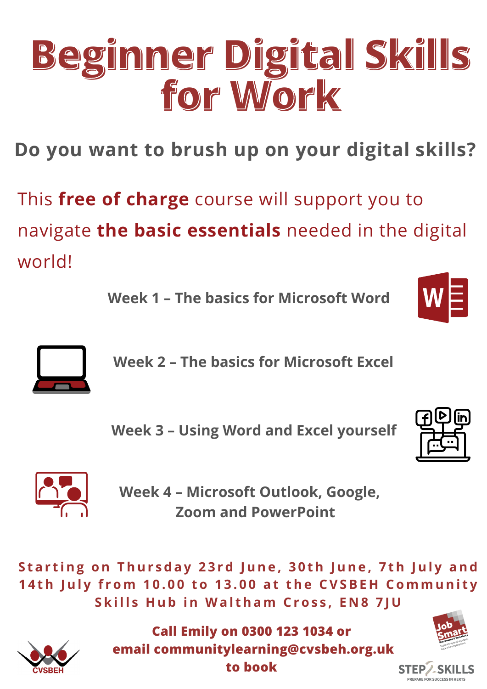**Week 4 – Microsoft Outlook, Google, Zoom and PowerPoint**

#### Starting on Thursday 23rd June, 30th June, 7th July and 14th July from 10.00 to 13.00 at the CVSBEH Community Skills Hub in Waltham Cross, EN8 7JU



# **Beginner Digital Skills for Work**

**Week 1 – The basics for Microsoft Word**



**Week 2 – The basics for Microsoft Excel**



### **Week 3 – Using Word and Excel yourself**





This **free of charge** course will support you to navigate **the basic essentials** needed in the digital world!

**Do you want to brush up on your digital skills?**

**Call Emily on 0300 123 1034 or email communitylearning@cvsbeh.org.uk to book**